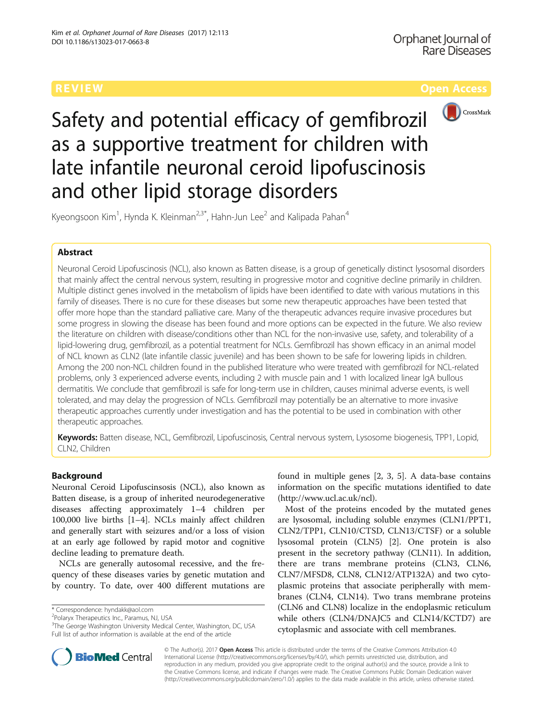

Safety and potential efficacy of gemfibrozil as a supportive treatment for children with late infantile neuronal ceroid lipofuscinosis and other lipid storage disorders

Kyeongsoon Kim<sup>1</sup>, Hynda K. Kleinman<sup>2,3\*</sup>, Hahn-Jun Lee<sup>2</sup> and Kalipada Pahan<sup>4</sup>

# Abstract

Neuronal Ceroid Lipofuscinosis (NCL), also known as Batten disease, is a group of genetically distinct lysosomal disorders that mainly affect the central nervous system, resulting in progressive motor and cognitive decline primarily in children. Multiple distinct genes involved in the metabolism of lipids have been identified to date with various mutations in this family of diseases. There is no cure for these diseases but some new therapeutic approaches have been tested that offer more hope than the standard palliative care. Many of the therapeutic advances require invasive procedures but some progress in slowing the disease has been found and more options can be expected in the future. We also review the literature on children with disease/conditions other than NCL for the non-invasive use, safety, and tolerability of a lipid-lowering drug, gemfibrozil, as a potential treatment for NCLs. Gemfibrozil has shown efficacy in an animal model of NCL known as CLN2 (late infantile classic juvenile) and has been shown to be safe for lowering lipids in children. Among the 200 non-NCL children found in the published literature who were treated with gemfibrozil for NCL-related problems, only 3 experienced adverse events, including 2 with muscle pain and 1 with localized linear IgA bullous dermatitis. We conclude that gemfibrozil is safe for long-term use in children, causes minimal adverse events, is well tolerated, and may delay the progression of NCLs. Gemfibrozil may potentially be an alternative to more invasive therapeutic approaches currently under investigation and has the potential to be used in combination with other therapeutic approaches.

Keywords: Batten disease, NCL, Gemfibrozil, Lipofuscinosis, Central nervous system, Lysosome biogenesis, TPP1, Lopid, CLN2, Children

# Background

Neuronal Ceroid Lipofuscinsosis (NCL), also known as Batten disease, is a group of inherited neurodegenerative diseases affecting approximately 1–4 children per 100,000 live births [\[1](#page-7-0)–[4](#page-7-0)]. NCLs mainly affect children and generally start with seizures and/or a loss of vision at an early age followed by rapid motor and cognitive decline leading to premature death.

NCLs are generally autosomal recessive, and the frequency of these diseases varies by genetic mutation and by country. To date, over 400 different mutations are

\* Correspondence: [hyndakk@aol.com](mailto:hyndakk@aol.com) <sup>2</sup>

<sup>2</sup>Polaryx Therapeutics Inc., Paramus, NJ, USA

<sup>3</sup>The George Washington University Medical Center, Washington, DC, USA Full list of author information is available at the end of the article

found in multiple genes [\[2](#page-7-0), [3, 5\]](#page-7-0). A data-base contains information on the specific mutations identified to date (<http://www.ucl.ac.uk/ncl>).

Most of the proteins encoded by the mutated genes are lysosomal, including soluble enzymes (CLN1/PPT1, CLN2/TPP1, CLN10/CTSD, CLN13/CTSF) or a soluble lysosomal protein (CLN5) [[2\]](#page-7-0). One protein is also present in the secretory pathway (CLN11). In addition, there are trans membrane proteins (CLN3, CLN6, CLN7/MFSD8, CLN8, CLN12/ATP132A) and two cytoplasmic proteins that associate peripherally with membranes (CLN4, CLN14). Two trans membrane proteins (CLN6 and CLN8) localize in the endoplasmic reticulum while others (CLN4/DNAJC5 and CLN14/KCTD7) are cytoplasmic and associate with cell membranes.



© The Author(s). 2017 **Open Access** This article is distributed under the terms of the Creative Commons Attribution 4.0 International License [\(http://creativecommons.org/licenses/by/4.0/](http://creativecommons.org/licenses/by/4.0/)), which permits unrestricted use, distribution, and reproduction in any medium, provided you give appropriate credit to the original author(s) and the source, provide a link to the Creative Commons license, and indicate if changes were made. The Creative Commons Public Domain Dedication waiver [\(http://creativecommons.org/publicdomain/zero/1.0/](http://creativecommons.org/publicdomain/zero/1.0/)) applies to the data made available in this article, unless otherwise stated.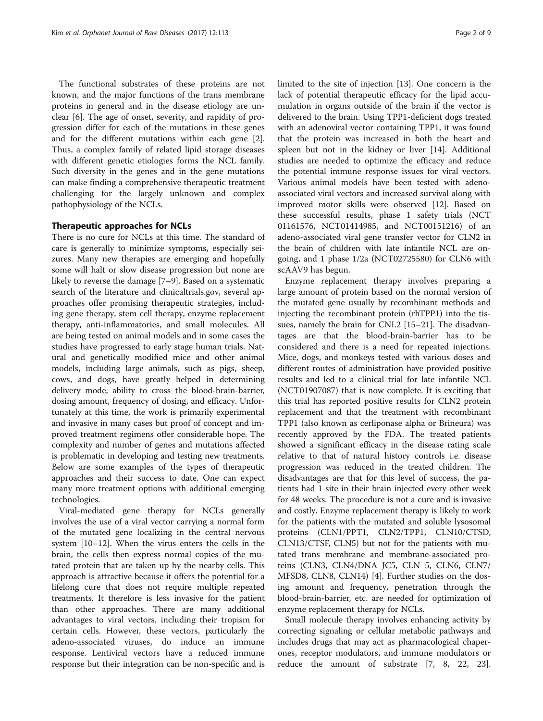The functional substrates of these proteins are not known, and the major functions of the trans membrane proteins in general and in the disease etiology are unclear [[6\]](#page-7-0). The age of onset, severity, and rapidity of progression differ for each of the mutations in these genes and for the different mutations within each gene [\[2](#page-7-0)]. Thus, a complex family of related lipid storage diseases with different genetic etiologies forms the NCL family. Such diversity in the genes and in the gene mutations can make finding a comprehensive therapeutic treatment challenging for the largely unknown and complex pathophysiology of the NCLs.

# Therapeutic approaches for NCLs

There is no cure for NCLs at this time. The standard of care is generally to minimize symptoms, especially seizures. Many new therapies are emerging and hopefully some will halt or slow disease progression but none are likely to reverse the damage [[7](#page-7-0)–[9\]](#page-7-0). Based on a systematic search of the literature and [clinicaltrials.gov,](http://clinicaltrials.gov) several approaches offer promising therapeutic strategies, including gene therapy, stem cell therapy, enzyme replacement therapy, anti-inflammatories, and small molecules. All are being tested on animal models and in some cases the studies have progressed to early stage human trials. Natural and genetically modified mice and other animal models, including large animals, such as pigs, sheep, cows, and dogs, have greatly helped in determining delivery mode, ability to cross the blood-brain-barrier, dosing amount, frequency of dosing, and efficacy. Unfortunately at this time, the work is primarily experimental and invasive in many cases but proof of concept and improved treatment regimens offer considerable hope. The complexity and number of genes and mutations affected is problematic in developing and testing new treatments. Below are some examples of the types of therapeutic approaches and their success to date. One can expect many more treatment options with additional emerging technologies.

Viral-mediated gene therapy for NCLs generally involves the use of a viral vector carrying a normal form of the mutated gene localizing in the central nervous system [[10](#page-7-0)–[12](#page-7-0)]. When the virus enters the cells in the brain, the cells then express normal copies of the mutated protein that are taken up by the nearby cells. This approach is attractive because it offers the potential for a lifelong cure that does not require multiple repeated treatments. It therefore is less invasive for the patient than other approaches. There are many additional advantages to viral vectors, including their tropism for certain cells. However, these vectors, particularly the adeno-associated viruses, do induce an immune response. Lentiviral vectors have a reduced immune response but their integration can be non-specific and is limited to the site of injection [\[13](#page-7-0)]. One concern is the lack of potential therapeutic efficacy for the lipid accumulation in organs outside of the brain if the vector is delivered to the brain. Using TPP1-deficient dogs treated with an adenoviral vector containing TPP1, it was found that the protein was increased in both the heart and spleen but not in the kidney or liver [\[14](#page-7-0)]. Additional studies are needed to optimize the efficacy and reduce the potential immune response issues for viral vectors. Various animal models have been tested with adenoassociated viral vectors and increased survival along with improved motor skills were observed [\[12](#page-7-0)]. Based on these successful results, phase 1 safety trials (NCT 01161576, NCT01414985, and NCT00151216) of an adeno-associated viral gene transfer vector for CLN2 in the brain of children with late infantile NCL are ongoing, and 1 phase 1/2a (NCT02725580) for CLN6 with scAAV9 has begun.

Enzyme replacement therapy involves preparing a large amount of protein based on the normal version of the mutated gene usually by recombinant methods and injecting the recombinant protein (rhTPP1) into the tissues, namely the brain for CNL2 [\[15](#page-7-0)–[21\]](#page-7-0). The disadvantages are that the blood-brain-barrier has to be considered and there is a need for repeated injections. Mice, dogs, and monkeys tested with various doses and different routes of administration have provided positive results and led to a clinical trial for late infantile NCL (NCT01907087) that is now complete. It is exciting that this trial has reported positive results for CLN2 protein replacement and that the treatment with recombinant TPP1 (also known as cerliponase alpha or Brineura) was recently approved by the FDA. The treated patients showed a significant efficacy in the disease rating scale relative to that of natural history controls i.e. disease progression was reduced in the treated children. The disadvantages are that for this level of success, the patients had 1 site in their brain injected every other week for 48 weeks. The procedure is not a cure and is invasive and costly. Enzyme replacement therapy is likely to work for the patients with the mutated and soluble lysosomal proteins (CLN1/PPT1, CLN2/TPP1, CLN10/CTSD, CLN13/CTSF, CLN5) but not for the patients with mutated trans membrane and membrane-associated proteins (CLN3, CLN4/DNA JC5, CLN 5, CLN6, CLN7/ MFSD8, CLN8, CLN14) [[4\]](#page-7-0). Further studies on the dosing amount and frequency, penetration through the blood-brain-barrier, etc. are needed for optimization of enzyme replacement therapy for NCLs.

Small molecule therapy involves enhancing activity by correcting signaling or cellular metabolic pathways and includes drugs that may act as pharmacological chaperones, receptor modulators, and immune modulators or reduce the amount of substrate [\[7, 8](#page-7-0), [22](#page-7-0), [23](#page-7-0)].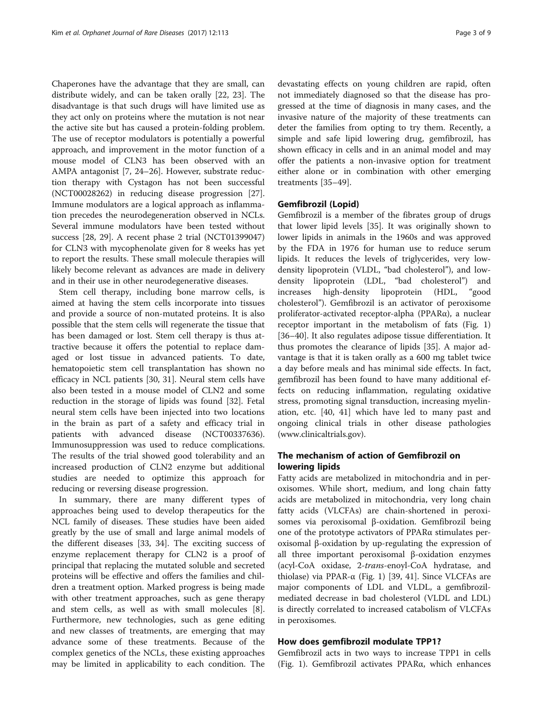Chaperones have the advantage that they are small, can distribute widely, and can be taken orally [\[22](#page-7-0), [23\]](#page-7-0). The disadvantage is that such drugs will have limited use as they act only on proteins where the mutation is not near the active site but has caused a protein-folding problem. The use of receptor modulators is potentially a powerful approach, and improvement in the motor function of a mouse model of CLN3 has been observed with an AMPA antagonist [\[7](#page-7-0), [24](#page-7-0)–[26](#page-7-0)]. However, substrate reduction therapy with Cystagon has not been successful (NCT00028262) in reducing disease progression [\[27](#page-7-0)]. Immune modulators are a logical approach as inflammation precedes the neurodegeneration observed in NCLs. Several immune modulators have been tested without success [\[28](#page-7-0), [29](#page-7-0)]. A recent phase 2 trial (NCT01399047) for CLN3 with mycophenolate given for 8 weeks has yet to report the results. These small molecule therapies will likely become relevant as advances are made in delivery and in their use in other neurodegenerative diseases.

Stem cell therapy, including bone marrow cells, is aimed at having the stem cells incorporate into tissues and provide a source of non-mutated proteins. It is also possible that the stem cells will regenerate the tissue that has been damaged or lost. Stem cell therapy is thus attractive because it offers the potential to replace damaged or lost tissue in advanced patients. To date, hematopoietic stem cell transplantation has shown no efficacy in NCL patients [\[30](#page-7-0), [31](#page-7-0)]. Neural stem cells have also been tested in a mouse model of CLN2 and some reduction in the storage of lipids was found [[32](#page-7-0)]. Fetal neural stem cells have been injected into two locations in the brain as part of a safety and efficacy trial in patients with advanced disease (NCT00337636). Immunosuppression was used to reduce complications. The results of the trial showed good tolerability and an increased production of CLN2 enzyme but additional studies are needed to optimize this approach for reducing or reversing disease progression.

In summary, there are many different types of approaches being used to develop therapeutics for the NCL family of diseases. These studies have been aided greatly by the use of small and large animal models of the different diseases [[33, 34](#page-7-0)]. The exciting success of enzyme replacement therapy for CLN2 is a proof of principal that replacing the mutated soluble and secreted proteins will be effective and offers the families and children a treatment option. Marked progress is being made with other treatment approaches, such as gene therapy and stem cells, as well as with small molecules [\[8](#page-7-0)]. Furthermore, new technologies, such as gene editing and new classes of treatments, are emerging that may advance some of these treatments. Because of the complex genetics of the NCLs, these existing approaches may be limited in applicability to each condition. The

devastating effects on young children are rapid, often not immediately diagnosed so that the disease has progressed at the time of diagnosis in many cases, and the invasive nature of the majority of these treatments can deter the families from opting to try them. Recently, a simple and safe lipid lowering drug, gemfibrozil, has shown efficacy in cells and in an animal model and may offer the patients a non-invasive option for treatment either alone or in combination with other emerging treatments [[35](#page-7-0)–[49](#page-8-0)].

# Gemfibrozil (Lopid)

Gemfibrozil is a member of the fibrates group of drugs that lower lipid levels [[35\]](#page-7-0). It was originally shown to lower lipids in animals in the 1960s and was approved by the FDA in 1976 for human use to reduce serum lipids. It reduces the levels of triglycerides, very lowdensity lipoprotein (VLDL, "bad cholesterol"), and lowdensity lipoprotein (LDL, "bad cholesterol") and increases high-density lipoprotein (HDL, "good cholesterol"). Gemfibrozil is an activator of peroxisome proliferator-activated receptor-alpha (PPARα), a nuclear receptor important in the metabolism of fats (Fig. [1](#page-3-0)) [[36](#page-7-0)–[40](#page-7-0)]. It also regulates adipose tissue differentiation. It thus promotes the clearance of lipids [[35\]](#page-7-0). A major advantage is that it is taken orally as a 600 mg tablet twice a day before meals and has minimal side effects. In fact, gemfibrozil has been found to have many additional effects on reducing inflammation, regulating oxidative stress, promoting signal transduction, increasing myelination, etc. [\[40,](#page-7-0) [41\]](#page-8-0) which have led to many past and ongoing clinical trials in other disease pathologies ([www.clinicaltrials.gov](http://www.clinicaltrials.gov)).

# The mechanism of action of Gemfibrozil on lowering lipids

Fatty acids are metabolized in mitochondria and in peroxisomes. While short, medium, and long chain fatty acids are metabolized in mitochondria, very long chain fatty acids (VLCFAs) are chain-shortened in peroxisomes via peroxisomal β-oxidation. Gemfibrozil being one of the prototype activators of PPARα stimulates peroxisomal β-oxidation by up-regulating the expression of all three important peroxisomal β-oxidation enzymes (acyl-CoA oxidase, 2-trans-enoyl-CoA hydratase, and thiolase) via PPAR-α (Fig. [1\)](#page-3-0) [\[39](#page-7-0), [41\]](#page-8-0). Since VLCFAs are major components of LDL and VLDL, a gemfibrozilmediated decrease in bad cholesterol (VLDL and LDL) is directly correlated to increased catabolism of VLCFAs in peroxisomes.

# How does gemfibrozil modulate TPP1?

Gemfibrozil acts in two ways to increase TPP1 in cells (Fig. [1](#page-3-0)). Gemfibrozil activates PPARα, which enhances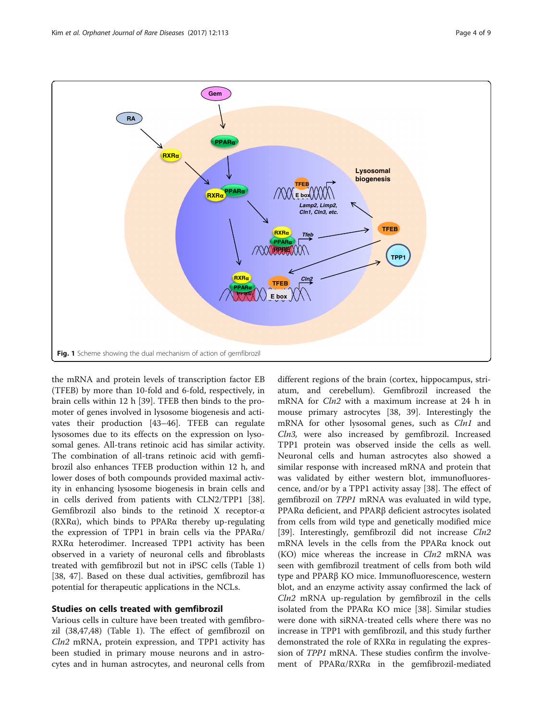<span id="page-3-0"></span>

the mRNA and protein levels of transcription factor EB (TFEB) by more than 10-fold and 6-fold, respectively, in brain cells within 12 h [[39\]](#page-7-0). TFEB then binds to the promoter of genes involved in lysosome biogenesis and activates their production [\[43](#page-8-0)–[46\]](#page-8-0). TFEB can regulate lysosomes due to its effects on the expression on lysosomal genes. All-trans retinoic acid has similar activity. The combination of all-trans retinoic acid with gemfibrozil also enhances TFEB production within 12 h, and lower doses of both compounds provided maximal activity in enhancing lysosome biogenesis in brain cells and in cells derived from patients with CLN2/TPP1 [\[38](#page-7-0)]. Gemfibrozil also binds to the retinoid X receptor-α (RXRα), which binds to PPARα thereby up-regulating the expression of TPP1 in brain cells via the PPARα/ RXRα heterodimer. Increased TPP1 activity has been observed in a variety of neuronal cells and fibroblasts treated with gemfibrozil but not in iPSC cells (Table [1](#page-4-0)) [[38,](#page-7-0) [47\]](#page-8-0). Based on these dual activities, gemfibrozil has potential for therapeutic applications in the NCLs.

## Studies on cells treated with gemfibrozil

Various cells in culture have been treated with gemfibrozil (38,47,48) (Table [1\)](#page-4-0). The effect of gemfibrozil on Cln2 mRNA, protein expression, and TPP1 activity has been studied in primary mouse neurons and in astrocytes and in human astrocytes, and neuronal cells from

different regions of the brain (cortex, hippocampus, striatum, and cerebellum). Gemfibrozil increased the mRNA for *Cln2* with a maximum increase at 24 h in mouse primary astrocytes [\[38](#page-7-0), [39\]](#page-7-0). Interestingly the mRNA for other lysosomal genes, such as Cln1 and Cln3, were also increased by gemfibrozil. Increased TPP1 protein was observed inside the cells as well. Neuronal cells and human astrocytes also showed a similar response with increased mRNA and protein that was validated by either western blot, immunofluorescence, and/or by a TPP1 activity assay [[38\]](#page-7-0). The effect of gemfibrozil on TPP1 mRNA was evaluated in wild type, PPARα deficient, and PPARβ deficient astrocytes isolated from cells from wild type and genetically modified mice [[39\]](#page-7-0). Interestingly, gemfibrozil did not increase Cln2 mRNA levels in the cells from the PPARα knock out  $(KO)$  mice whereas the increase in  $Cln2$  mRNA was seen with gemfibrozil treatment of cells from both wild type and PPARβ KO mice. Immunofluorescence, western blot, and an enzyme activity assay confirmed the lack of  $Cln2$  mRNA up-regulation by gemfibrozil in the cells isolated from the PPARα KO mice [\[38](#page-7-0)]. Similar studies were done with siRNA-treated cells where there was no increase in TPP1 with gemfibrozil, and this study further demonstrated the role of RXRα in regulating the expression of TPP1 mRNA. These studies confirm the involvement of PPARα/RXRα in the gemfibrozil-mediated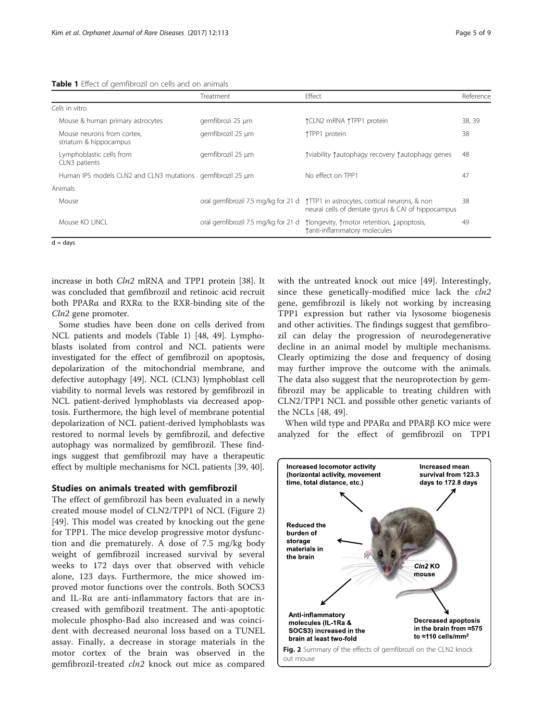<span id="page-4-0"></span>

|  |  |  |  | Table 1 Effect of gemfibrozil on cells and on animals |  |  |  |  |  |
|--|--|--|--|-------------------------------------------------------|--|--|--|--|--|
|--|--|--|--|-------------------------------------------------------|--|--|--|--|--|

|                                                            | Treatment         | <b>Fffect</b>                                                                                                                          | Reference |
|------------------------------------------------------------|-------------------|----------------------------------------------------------------------------------------------------------------------------------------|-----------|
| Cells in vitro                                             |                   |                                                                                                                                        |           |
| Mouse & human primary astrocytes                           | gemfibrozi 25 µm  | ↑CLN2 mRNA ↑TPP1 protein                                                                                                               | 38, 39    |
| Mouse neurons from cortex.<br>striatum & hippocampus       | gemfibrozil 25 µm | ↑TPP1 protein                                                                                                                          | 38        |
| Lymphoblastic cells from<br>CLN3 patients                  | gemfibrozil 25 µm | ↑viability ↑autophagy recovery ↑autophagy genes                                                                                        | 48        |
| Human IPS models CLN2 and CLN3 mutations gemfibrozil 25 um |                   | No effect on TPP1                                                                                                                      | 47        |
| Animals                                                    |                   |                                                                                                                                        |           |
| Mouse                                                      |                   | oral gemfibrozil 7.5 mg/kg for 21 d 1TTP1 in astrocytes, cortical neurons, & non<br>neural cells of dentate gyrus & CAI of hippocampus | 38        |
| Mouse KO LINCL                                             |                   | oral gemfibrozil 7.5 mg/kg for 21 d 1longevity, 1 motor retention, Lapoptosis,<br>tanti-inflammatory molecules                         | 49        |

 $\overline{d}$  = days

increase in both *Cln2* mRNA and TPP1 protein [\[38](#page-7-0)]. It was concluded that gemfibrozil and retinoic acid recruit both PPARα and RXRα to the RXR-binding site of the Cln2 gene promoter.

Some studies have been done on cells derived from NCL patients and models (Table 1) [[48, 49](#page-8-0)]. Lymphoblasts isolated from control and NCL patients were investigated for the effect of gemfibrozil on apoptosis, depolarization of the mitochondrial membrane, and defective autophagy [[49](#page-8-0)]. NCL (CLN3) lymphoblast cell viability to normal levels was restored by gemfibrozil in NCL patient-derived lymphoblasts via decreased apoptosis. Furthermore, the high level of membrane potential depolarization of NCL patient-derived lymphoblasts was restored to normal levels by gemfibrozil, and defective autophagy was normalized by gemfibrozil. These findings suggest that gemfibrozil may have a therapeutic effect by multiple mechanisms for NCL patients [\[39, 40\]](#page-7-0).

# Studies on animals treated with gemfibrozil

The effect of gemfibrozil has been evaluated in a newly created mouse model of CLN2/TPP1 of NCL (Figure 2) [[49\]](#page-8-0). This model was created by knocking out the gene for TPP1. The mice develop progressive motor dysfunction and die prematurely. A dose of 7.5 mg/kg body weight of gemfibrozil increased survival by several weeks to 172 days over that observed with vehicle alone, 123 days. Furthermore, the mice showed improved motor functions over the controls. Both SOCS3 and IL-Rα are anti-inflammatory factors that are increased with gemfibozil treatment. The anti-apoptotic molecule phospho-Bad also increased and was coincident with decreased neuronal loss based on a TUNEL assay. Finally, a decrease in storage materials in the motor cortex of the brain was observed in the gemfibrozil-treated cln2 knock out mice as compared with the untreated knock out mice [\[49](#page-8-0)]. Interestingly, since these genetically-modified mice lack the *cln2* gene, gemfibrozil is likely not working by increasing TPP1 expression but rather via lysosome biogenesis and other activities. The findings suggest that gemfibrozil can delay the progression of neurodegenerative decline in an animal model by multiple mechanisms. Clearly optimizing the dose and frequency of dosing may further improve the outcome with the animals. The data also suggest that the neuroprotection by gemfibrozil may be applicable to treating children with CLN2/TPP1 NCL and possible other genetic variants of the NCLs [[48](#page-8-0), [49](#page-8-0)].

When wild type and PPARα and PPARβ KO mice were analyzed for the effect of gemfibrozil on TPP1

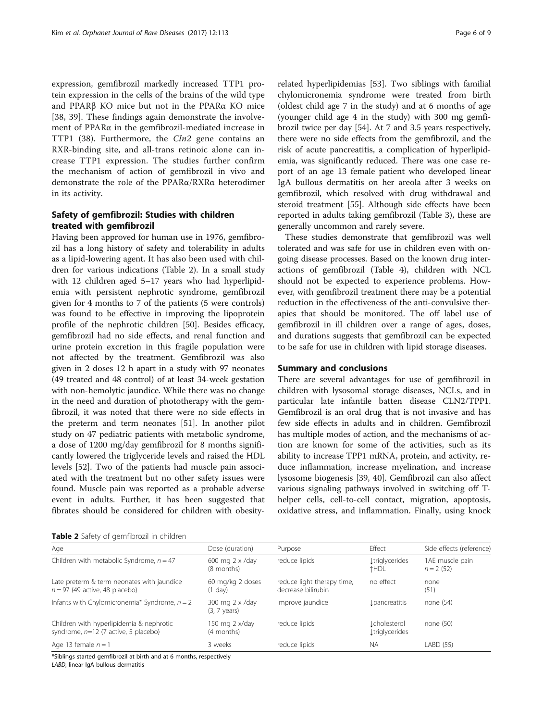expression, gemfibrozil markedly increased TTP1 protein expression in the cells of the brains of the wild type and PPARβ KO mice but not in the PPARα KO mice [[38, 39\]](#page-7-0). These findings again demonstrate the involvement of PPARα in the gemfibrozil-mediated increase in TTP1 (38). Furthermore, the Cln2 gene contains an RXR-binding site, and all-trans retinoic alone can increase TTP1 expression. The studies further confirm the mechanism of action of gemfibrozil in vivo and demonstrate the role of the PPARα/RXRα heterodimer in its activity.

# Safety of gemfibrozil: Studies with children treated with gemfibrozil

Having been approved for human use in 1976, gemfibrozil has a long history of safety and tolerability in adults as a lipid-lowering agent. It has also been used with children for various indications (Table 2). In a small study with 12 children aged 5–17 years who had hyperlipidemia with persistent nephrotic syndrome, gemfibrozil given for 4 months to 7 of the patients (5 were controls) was found to be effective in improving the lipoprotein profile of the nephrotic children [[50](#page-8-0)]. Besides efficacy, gemfibrozil had no side effects, and renal function and urine protein excretion in this fragile population were not affected by the treatment. Gemfibrozil was also given in 2 doses 12 h apart in a study with 97 neonates (49 treated and 48 control) of at least 34-week gestation with non-hemolytic jaundice. While there was no change in the need and duration of phototherapy with the gemfibrozil, it was noted that there were no side effects in the preterm and term neonates [\[51](#page-8-0)]. In another pilot study on 47 pediatric patients with metabolic syndrome, a dose of 1200 mg/day gemfibrozil for 8 months significantly lowered the triglyceride levels and raised the HDL levels [[52\]](#page-8-0). Two of the patients had muscle pain associated with the treatment but no other safety issues were found. Muscle pain was reported as a probable adverse event in adults. Further, it has been suggested that fibrates should be considered for children with obesity-

related hyperlipidemias [[53\]](#page-8-0). Two siblings with familial chylomicronemia syndrome were treated from birth (oldest child age 7 in the study) and at 6 months of age (younger child age 4 in the study) with 300 mg gemfibrozil twice per day [\[54](#page-8-0)]. At 7 and 3.5 years respectively, there were no side effects from the gemfibrozil, and the risk of acute pancreatitis, a complication of hyperlipidemia, was significantly reduced. There was one case report of an age 13 female patient who developed linear IgA bullous dermatitis on her areola after 3 weeks on gemfibrozil, which resolved with drug withdrawal and steroid treatment [\[55](#page-8-0)]. Although side effects have been reported in adults taking gemfibrozil (Table [3](#page-6-0)), these are generally uncommon and rarely severe.

These studies demonstrate that gemfibrozil was well tolerated and was safe for use in children even with ongoing disease processes. Based on the known drug interactions of gemfibrozil (Table [4](#page-6-0)), children with NCL should not be expected to experience problems. However, with gemfibrozil treatment there may be a potential reduction in the effectiveness of the anti-convulsive therapies that should be monitored. The off label use of gemfibrozil in ill children over a range of ages, doses, and durations suggests that gemfibrozil can be expected to be safe for use in children with lipid storage diseases.

# Summary and conclusions

There are several advantages for use of gemfibrozil in children with lysosomal storage diseases, NCLs, and in particular late infantile batten disease CLN2/TPP1. Gemfibrozil is an oral drug that is not invasive and has few side effects in adults and in children. Gemfibrozil has multiple modes of action, and the mechanisms of action are known for some of the activities, such as its ability to increase TPP1 mRNA, protein, and activity, reduce inflammation, increase myelination, and increase lysosome biogenesis [[39, 40\]](#page-7-0). Gemfibrozil can also affect various signaling pathways involved in switching off Thelper cells, cell-to-cell contact, migration, apoptosis, oxidative stress, and inflammation. Finally, using knock

| Age                                                                                | Dose (duration)                           | Purpose                                          | Effect                                       | Side effects (reference)       |
|------------------------------------------------------------------------------------|-------------------------------------------|--------------------------------------------------|----------------------------------------------|--------------------------------|
| Children with metabolic Syndrome, $n = 47$                                         | 600 mg 2 x /day<br>(8 months)             | reduce lipids                                    | <b>Ltriglycerides</b><br>↑HDL                | 1AE muscle pain<br>$n = 2(52)$ |
| Late preterm & term neonates with jaundice<br>$n = 97$ (49 active, 48 placebo)     | 60 mg/kg 2 doses<br>$(1$ day)             | reduce light therapy time,<br>decrease bilirubin | no effect                                    | none<br>(51)                   |
| Infants with Chylomicronemia* Syndrome, $n = 2$                                    | 300 mg 2 x /day<br>$(3, 7 \text{ years})$ | improve jaundice                                 | <i>L</i> pancreatitis                        | none $(54)$                    |
| Children with hyperlipidemia & nephrotic<br>syndrome, $n=12$ (7 active, 5 placebo) | 150 mg $2 \times$ /day<br>(4 months)      | reduce lipids                                    | <b>Lcholesterol</b><br><b>Įtriglycerides</b> | none $(50)$                    |
| Age 13 female $n = 1$                                                              | 3 weeks                                   | reduce lipids                                    | <b>NA</b>                                    | LABD (55)                      |

\*Siblings started gemfibrozil at birth and at 6 months, respectively

LABD, linear IgA bullous dermatitis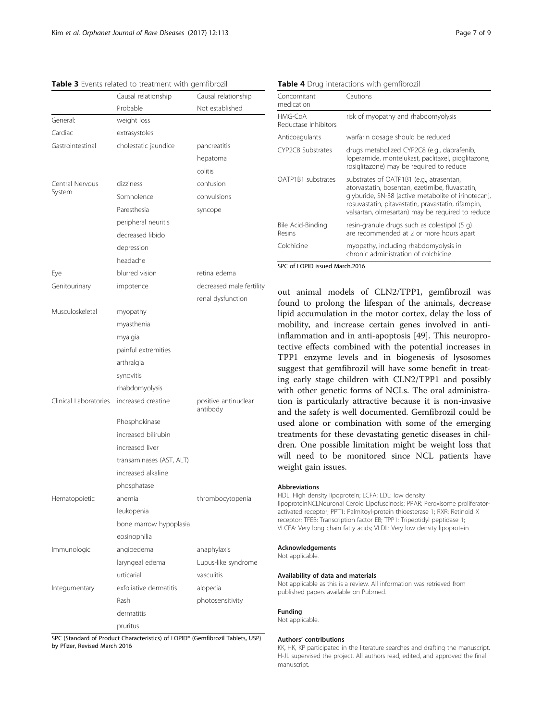<span id="page-6-0"></span>Table 3 Events related to treatment with gemfibrozil

| Not established<br>Probable<br>General:<br>weight loss<br>Cardiac<br>extrasystoles<br>Gastrointestinal<br>cholestatic jaundice<br>pancreatitis<br>hepatoma<br>colitis<br>Central Nervous<br>confusion<br>dizziness<br>System<br>Somnolence<br>convulsions<br>Paresthesia<br>syncope<br>peripheral neuritis<br>decreased libido<br>depression<br>headache<br>blurred vision<br>retina edema<br>Eye<br>decreased male fertility<br>Genitourinary<br>impotence<br>renal dysfunction<br>Musculoskeletal<br>myopathy<br>myasthenia<br>myalgia<br>painful extremities<br>arthralgia<br>synovitis | Causal relationship | Causal relationship |  |  |
|--------------------------------------------------------------------------------------------------------------------------------------------------------------------------------------------------------------------------------------------------------------------------------------------------------------------------------------------------------------------------------------------------------------------------------------------------------------------------------------------------------------------------------------------------------------------------------------------|---------------------|---------------------|--|--|
|                                                                                                                                                                                                                                                                                                                                                                                                                                                                                                                                                                                            |                     |                     |  |  |
|                                                                                                                                                                                                                                                                                                                                                                                                                                                                                                                                                                                            |                     |                     |  |  |
|                                                                                                                                                                                                                                                                                                                                                                                                                                                                                                                                                                                            |                     |                     |  |  |
|                                                                                                                                                                                                                                                                                                                                                                                                                                                                                                                                                                                            |                     |                     |  |  |
|                                                                                                                                                                                                                                                                                                                                                                                                                                                                                                                                                                                            |                     |                     |  |  |
|                                                                                                                                                                                                                                                                                                                                                                                                                                                                                                                                                                                            |                     |                     |  |  |
|                                                                                                                                                                                                                                                                                                                                                                                                                                                                                                                                                                                            |                     |                     |  |  |
|                                                                                                                                                                                                                                                                                                                                                                                                                                                                                                                                                                                            |                     |                     |  |  |
|                                                                                                                                                                                                                                                                                                                                                                                                                                                                                                                                                                                            |                     |                     |  |  |
|                                                                                                                                                                                                                                                                                                                                                                                                                                                                                                                                                                                            |                     |                     |  |  |
|                                                                                                                                                                                                                                                                                                                                                                                                                                                                                                                                                                                            |                     |                     |  |  |
|                                                                                                                                                                                                                                                                                                                                                                                                                                                                                                                                                                                            |                     |                     |  |  |
|                                                                                                                                                                                                                                                                                                                                                                                                                                                                                                                                                                                            |                     |                     |  |  |
|                                                                                                                                                                                                                                                                                                                                                                                                                                                                                                                                                                                            |                     |                     |  |  |
|                                                                                                                                                                                                                                                                                                                                                                                                                                                                                                                                                                                            |                     |                     |  |  |
|                                                                                                                                                                                                                                                                                                                                                                                                                                                                                                                                                                                            |                     |                     |  |  |
|                                                                                                                                                                                                                                                                                                                                                                                                                                                                                                                                                                                            |                     |                     |  |  |
|                                                                                                                                                                                                                                                                                                                                                                                                                                                                                                                                                                                            |                     |                     |  |  |
|                                                                                                                                                                                                                                                                                                                                                                                                                                                                                                                                                                                            |                     |                     |  |  |
|                                                                                                                                                                                                                                                                                                                                                                                                                                                                                                                                                                                            |                     |                     |  |  |
|                                                                                                                                                                                                                                                                                                                                                                                                                                                                                                                                                                                            |                     |                     |  |  |
|                                                                                                                                                                                                                                                                                                                                                                                                                                                                                                                                                                                            |                     |                     |  |  |
| rhabdomyolysis                                                                                                                                                                                                                                                                                                                                                                                                                                                                                                                                                                             |                     |                     |  |  |
| Clinical Laboratories<br>increased creatine<br>positive antinuclear<br>antibody                                                                                                                                                                                                                                                                                                                                                                                                                                                                                                            |                     |                     |  |  |
| Phosphokinase                                                                                                                                                                                                                                                                                                                                                                                                                                                                                                                                                                              |                     |                     |  |  |
| increased bilirubin                                                                                                                                                                                                                                                                                                                                                                                                                                                                                                                                                                        |                     |                     |  |  |
| increased liver                                                                                                                                                                                                                                                                                                                                                                                                                                                                                                                                                                            |                     |                     |  |  |
| transaminases (AST, ALT)                                                                                                                                                                                                                                                                                                                                                                                                                                                                                                                                                                   |                     |                     |  |  |
| increased alkaline                                                                                                                                                                                                                                                                                                                                                                                                                                                                                                                                                                         |                     |                     |  |  |
| phosphatase                                                                                                                                                                                                                                                                                                                                                                                                                                                                                                                                                                                |                     |                     |  |  |
| Hematopoietic<br>thrombocytopenia<br>anemia                                                                                                                                                                                                                                                                                                                                                                                                                                                                                                                                                |                     |                     |  |  |
| leukopenia                                                                                                                                                                                                                                                                                                                                                                                                                                                                                                                                                                                 |                     |                     |  |  |
| bone marrow hypoplasia                                                                                                                                                                                                                                                                                                                                                                                                                                                                                                                                                                     |                     |                     |  |  |
| eosinophilia                                                                                                                                                                                                                                                                                                                                                                                                                                                                                                                                                                               |                     |                     |  |  |
| Immunologic<br>angioedema<br>anaphylaxis                                                                                                                                                                                                                                                                                                                                                                                                                                                                                                                                                   |                     |                     |  |  |
| laryngeal edema<br>Lupus-like syndrome                                                                                                                                                                                                                                                                                                                                                                                                                                                                                                                                                     |                     |                     |  |  |
| urticarial<br>vasculitis                                                                                                                                                                                                                                                                                                                                                                                                                                                                                                                                                                   |                     |                     |  |  |
| exfoliative dermatitis<br>Integumentary<br>alopecia                                                                                                                                                                                                                                                                                                                                                                                                                                                                                                                                        |                     |                     |  |  |
| Rash<br>photosensitivity                                                                                                                                                                                                                                                                                                                                                                                                                                                                                                                                                                   |                     |                     |  |  |
| dermatitis                                                                                                                                                                                                                                                                                                                                                                                                                                                                                                                                                                                 |                     |                     |  |  |
| pruritus                                                                                                                                                                                                                                                                                                                                                                                                                                                                                                                                                                                   |                     |                     |  |  |

SPC (Standard of Product Characteristics) of LOPID® (Gemfibrozil Tablets, USP) by Pfizer, Revised March 2016

Table 4 Drug interactions with gemfibrozil

| Concomitant<br>medication       | Cautions                                                                                                                                                                                                                                                     |  |  |  |
|---------------------------------|--------------------------------------------------------------------------------------------------------------------------------------------------------------------------------------------------------------------------------------------------------------|--|--|--|
| HMG-CoA<br>Reductase Inhibitors | risk of myopathy and rhabdomyolysis                                                                                                                                                                                                                          |  |  |  |
| Anticoagulants                  | warfarin dosage should be reduced                                                                                                                                                                                                                            |  |  |  |
| CYP2C8 Substrates               | drugs metabolized CYP2C8 (e.g., dabrafenib,<br>loperamide, montelukast, paclitaxel, pioglitazone,<br>rosiglitazone) may be required to reduce                                                                                                                |  |  |  |
| OATP1B1 substrates              | substrates of OATP1B1 (e.g., atrasentan,<br>atorvastatin, bosentan, ezetimibe, fluvastatin,<br>glyburide, SN-38 [active metabolite of irinotecan],<br>rosuvastatin, pitavastatin, pravastatin, rifampin,<br>valsartan, olmesartan) may be required to reduce |  |  |  |
| Bile Acid-Binding<br>Resins     | resin-granule drugs such as colestipol (5 g)<br>are recommended at 2 or more hours apart                                                                                                                                                                     |  |  |  |
| Colchicine                      | myopathy, including rhabdomyolysis in<br>chronic administration of colchicine                                                                                                                                                                                |  |  |  |

SPC of LOPID issued March.2016

out animal models of CLN2/TPP1, gemfibrozil was found to prolong the lifespan of the animals, decrease lipid accumulation in the motor cortex, delay the loss of mobility, and increase certain genes involved in antiinflammation and in anti-apoptosis [[49\]](#page-8-0). This neuroprotective effects combined with the potential increases in TPP1 enzyme levels and in biogenesis of lysosomes suggest that gemfibrozil will have some benefit in treating early stage children with CLN2/TPP1 and possibly with other genetic forms of NCLs. The oral administration is particularly attractive because it is non-invasive and the safety is well documented. Gemfibrozil could be used alone or combination with some of the emerging treatments for these devastating genetic diseases in children. One possible limitation might be weight loss that will need to be monitored since NCL patients have weight gain issues.

#### Abbreviations

HDL: High density lipoprotein; LCFA; LDL: low density lipoproteinNCLNeuronal Ceroid Lipofuscinosis; PPAR: Peroxisome proliferatoractivated receptor; PPT1: Palmitoyl-protein thioesterase 1; RXR: Retinoid X receptor; TFEB: Transcription factor EB; TPP1: Tripeptidyl peptidase 1; VLCFA: Very long chain fatty acids; VLDL: Very low density lipoprotein

## Acknowledgements

Not applicable.

#### Availability of data and materials

Not applicable as this is a review. All information was retrieved from published papers available on Pubmed.

#### Funding

Not applicable.

#### Authors' contributions

KK, HK, KP participated in the literature searches and drafting the manuscript. H-JL supervised the project. All authors read, edited, and approved the final manuscript.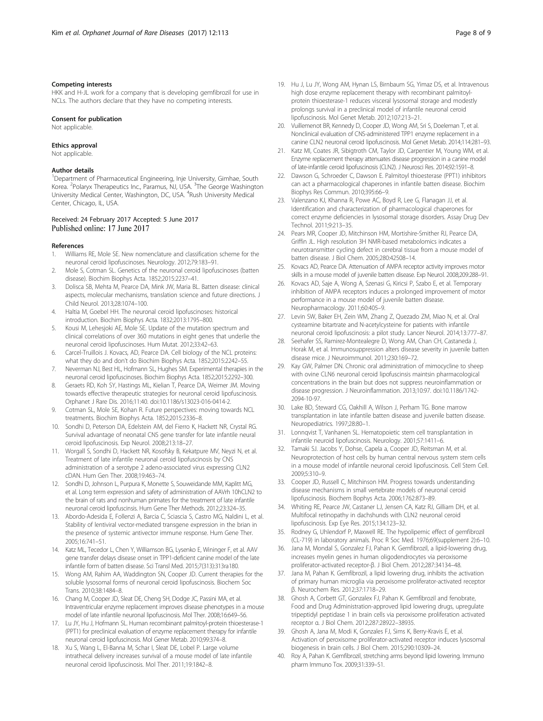#### <span id="page-7-0"></span>Competing interests

HKK and H-JL work for a company that is developing gemfibrozil for use in NCLs. The authors declare that they have no competing interests.

#### Consent for publication

Not applicable.

## Ethics approval

Not applicable.

### Author details

<sup>1</sup>Department of Pharmaceutical Engineering, Inje University, Gimhae, South Korea. <sup>2</sup>Polaryx Therapeutics Inc., Paramus, NJ, USA. <sup>3</sup>The George Washington University Medical Center, Washington, DC, USA. <sup>4</sup>Rush University Medical Center, Chicago, IL, USA.

## Received: 24 February 2017 Accepted: 5 June 2017 Published online: 17 June 2017

#### References

- Williams RE, Mole SE. New nomenclature and classification scheme for the neuronal ceroid lipofuscinoses. Neurology. 2012;79:183–91.
- 2. Mole S, Cotman SL. Genetics of the neuronal ceroid lipofuscinoses (batten disease). Biochim Biophys Acta. 1852;2015:2237–41.
- 3. Dolisca SB, Mehta M, Pearce DA, Mink JW, Maria BL. Batten disease: clinical aspects, molecular mechanisms, translation science and future directions. J Child Neurol. 2013;28:1074–100.
- 4. Haltia M, Goebel HH. The neuronal ceroid lipofuscinoses: historical introduction. Biochim Biophys Acta. 1832;2013:1795–800.
- 5. Kousi M, Lehesjoki AE, Mole SE. Update of the mutation spectrum and clinical correlations of over 360 mutations in eight genes that underlie the neuronal ceroid lipofuscinoses. Hum Mutat. 2012;33:42–63.
- 6. Carcel-Truillois J. Kovacs, AD, Pearce DA. Cell biology of the NCL proteins: what they do and don't do Biochim Biophys Acta. 1852;2015:2242–55.
- 7. Neverman NJ, Best HL, Hofmann SL, Hughes SM. Experimental therapies in the neuronal ceroid lipofuscinoses. Biochim Biophys Acta. 1852;2015:2292–300.
- 8. Geraets RD, Koh SY, Hastings ML, Kielian T, Pearce DA, Weimer JM. Moving towards effective therapeutic strategies for neuronal ceroid lipofuscinosis. Orphanet J Rare Dis. 2016;11:40. doi[:10.1186/s13023-016-0414-2](http://dx.doi.org/10.1186/s13023-016-0414-2).
- 9. Cotman SL, Mole SE, Kohan R. Future perspectives: moving towards NCL treatments. Biochim Biophys Acta. 1852;2015:2336–8.
- 10. Sondhi D, Peterson DA, Edelstein AM, del Fierro K, Hackett NR, Crystal RG. Survival advantage of neonatal CNS gene transfer for late infantile neural ceroid lipofuscinosis. Exp Neurol. 2008;213:18–27.
- 11. Worgall S, Sondhi D, Hackett NR, Kosofsky B, Kekatpure MV, Neyzi N, et al. Treatment of late infantile neuronal ceroid lipofuscinosis by CNS administration of a serotype 2 adeno-associated virus expressing CLN2 cDAN. Hum Gen Ther. 2008;19:463–74.
- 12. Sondhi D, Johnson L, Purpura K, Monette S, Souweidande MM, Kaplitt MG, et al. Long term expression and safety of administration of AAVrh 10hCLN2 to the brain of rats and nonhuman primates for the treatment of late infantile neuronal ceroid lipofuscinsis. Hum Gene Ther Methods. 2012;23:324–35.
- 13. Abordo-Adesida E, Follenzi A, Barcia C, Sciascia S, Castro MG, Naldini L, et al. Stability of lentiviral vector-mediated transgene expression in the brian in the presence of systemic antivector immune response. Hum Gene Ther. 2005;16:741–51.
- 14. Katz ML, Tecedor L, Chen Y, Williamson BG, Lysenko E, Wininger F, et al. AAV gene transfer delays disease onset in TPP1-deficient canine model of the late infantile form of batten disease. Sci Transl Med. 2015;7(313):313ra180.
- 15. Wong AM, Rahim AA, Waddington SN, Cooper JD. Current therapies for the soluble lysosomal forms of neuronal ceroid lipofuscinosis. Biochem Soc Trans. 2010;38:1484–8.
- 16. Chang M, Cooper JD, Sleat DE, Cheng SH, Dodge JC, Passini MA, et al. Intraventricular enzyme replacement improves disease phenotypes in a mouse model of late infantile neuronal lipofuscinosis. Mol Ther. 2008;16:649–56.
- 17. Lu JY, Hu J, Hofmann SL. Human recombinant palmitoyl-protein thioesterase-1 (PPT1) for preclinical evaluation of enzyme replacement therapy for infantile neuronal ceroid lipofuscinosis. Mol Gener Metab. 2010;99:374–8.
- 18. Xu S, Wang L, El-Banna M, Schar I, Sleat DE, Lobel P. Large volume intrathecal delivery increases survival of a mouse model of late infantile neuronal ceroid lipofuscinosis. Mol Ther. 2011;19:1842–8.
- 19. Hu J, Lu JY, Wong AM, Hynan LS, Birnbaum SG, Yimaz DS, et al. Intravenous
- high dose enzyme replacement therapy with recombinant palmitoylprotein thioesterase-1 reduces visceral lysosomal storage and modestly prolongs survival in a preclinical model of infantile neuronal ceroid lipofuscinosis. Mol Genet Metab. 2012;107:213–21.
- 20. Vuillemenot BR, Kennedy D, Cooper JD, Wong AM, Sri S, Doeleman T, et al. Nonclinical evaluation of CNS-administered TPP1 enzyme replacement in a canine CLN2 neuronal ceroid lipofuscinosis. Mol Genet Metab. 2014;114:281–93.
- 21. Katz MI, Coates JR, Sibigtroth CM, Taylor JD, Carpentier M, Young WM, et al. Enzyme replacement therapy attenuates disease progression in a canine model of late-infantile ceroid lipofuscinosis (CLN2). J Neurosci Res. 2014;92:1591–8.
- 22. Dawson G, Schroeder C, Dawson E. Palmitoyl thioesterase (PPT1) inhibitors can act a pharmacological chaperones in infantile batten disease. Biochim Biophys Res Commun. 2010;395:66–9.
- 23. Valenzano KJ, Khanna R, Powe AC, Boyd R, Lee G, Flanagan JJ, et al. Identification and characterization of pharmacological chaperones for correct enzyme deficiencies in lysosomal storage disorders. Assay Drug Dev Technol. 2011;9:213–35.
- 24. Pears MR, Cooper JD, Mitchinson HM, Mortishire-Smither RJ, Pearce DA, Griffin JL. High resolution 3H NMR-based metabolomics indicates a neurotransmitter cycling defect in cerebral tissue from a mouse model of batten disease. J Biol Chem. 2005;280:42508–14.
- 25. Kovacs AD, Pearce DA. Attenuation of AMPA receptor activity improves motor skills in a mouse model of juvenile batten disease. Exp Neurol. 2008;209:288–91.
- Kovacs AD, Saje A, Wong A, Szenasi G, Kiricsi P, Szabo E, et al. Temporary inhibition of AMPA receptors induces a prolonged improvement of motor performance in a mouse model of juvenile batten disease. Neuropharmacology. 2011;60:405–9.
- 27. Levin SW, Baker EH, Zein WM, Zhang Z, Quezado ZM, Miao N, et al. Oral cysteamine bitartrate and N-acetylcysteine for patients with infantile neuronal ceroid lipofuscinosis: a pilot study. Lancer Neurol. 2014;13:777–87.
- 28. Seehafer SS, Ramirez-Montealegre D, Wong AM, Chan CH, Castaneda J, Horak M, et al. Immunosuppression alters disease severity in juvenile batten disease mice. J Neuroimmunol. 2011;230:169–72.
- 29. Kay GW, Palmer DN. Chronic oral administration of mimocycline to sheep with ovine CLN6 neuronal ceroid lipofuscinsis maintsin pharmacological concentrations in the brain but does not suppress neuroinflammation or disease progression. J Neuroinflammation. 2013;10:97. doi:[10.1186/1742-](http://dx.doi.org/10.1186/1742-2094-10-97) [2094-10-97](http://dx.doi.org/10.1186/1742-2094-10-97).
- 30. Lake BD, Steward CG, Oakhill A, Wilson J, Perham TG. Bone marrow transplantation in late infantile batten disease and juvenile batten disease. Neuropediatrics. 1997;28:80–1.
- 31. Lonnqvist T, Vanhanen SL. Hematopoietic stem cell transplantation in infantile neuroid lipofuscinosis. Neurology. 2001;57:1411–6.
- 32. Tamaki SJ. Jacobs Y, Dohse, Capela a, Cooper JD, Reitsman M, et al. Neuroprotection of host cells by human central nervous system stem cells in a mouse model of infantile neuronal ceroid lipofuscinosis. Cell Stem Cell. 2009;5:310–9.
- 33. Cooper JD, Russell C, Mitchinson HM. Progress towards understanding disease mechanisms in small vertebrate models of neuronal ceroid lipofuscinosis. Biochem Bophys Acta. 2006;1762:873–89.
- 34. Whiting RE, Pearce JW, Castaner LJ, Jensen CA, Katz RJ, Gilliam DH, et al. Multifocal retinopathy in dachshunds with CLN2 neuronal ceroid lipofuscinosis. Exp Eye Res. 2015;134:123–32.
- 35. Rodney G, Uhlendorf P, Maxwell RE. The hypolipemic effect of gemfibrozil (CL-719) in laboratory animals. Proc R Soc Med. 1976;69(supplement 2):6–10.
- 36. Jana M, Mondal S, Gonzalez FJ, Pahan K. Gemfibrozil, a lipid-lowering drug, increases myelin genes in human oligodendrocytes via peroxisome proliferator-activated receptor-β. J Biol Chem. 2012;287:34134–48.
- 37. Jana M, Pahan K. Gemfibrozil, a lipid lowering drug, inhibits the activation of primary human microglia via peroxisome proliferator-activated receptor β. Neurochem Res. 2012;37:1718–29.
- 38. Ghosh A, Corbett GT, Gonzalex FJ, Pahan K. Gemfibrozil and fenobrate, Food and Drug Administration-approved lipid lowering drugs, upregulate tripeptidyl peptidase 1 in brain cells via peroxisome proliferation activated receptor α. J Biol Chem. 2012;287:28922–38935.
- 39. Ghosh A, Jana M, Modi K, Gonzales FJ, Sims K, Berry-Kravis E, et al. Activation of peroxisome proliferator-activated receptor induces lysosomal biogenesis in brain cells. J Biol Chem. 2015;290:10309–24.
- 40. Roy A, Pahan K. Gemfibrozil, stretching arms beyond lipid lowering. Immuno pharm Immuno Tox. 2009;31:339–51.